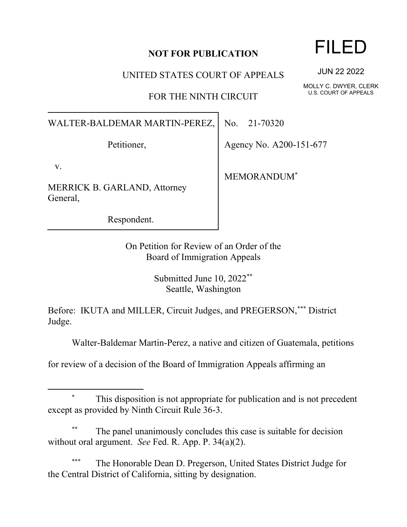## **NOT FOR PUBLICATION**

UNITED STATES COURT OF APPEALS

FOR THE NINTH CIRCUIT

WALTER-BALDEMAR MARTIN-PEREZ,

Petitioner,

v.

MERRICK B. GARLAND, Attorney General,

Respondent.

No. 21-70320

Agency No. A200-151-677

MEMORANDUM\*

On Petition for Review of an Order of the Board of Immigration Appeals

> Submitted June 10, 2022\*\* Seattle, Washington

Before: IKUTA and MILLER, Circuit Judges, and PREGERSON,\*\*\* District Judge.

Walter-Baldemar Martin-Perez, a native and citizen of Guatemala, petitions

for review of a decision of the Board of Immigration Appeals affirming an

## This disposition is not appropriate for publication and is not precedent except as provided by Ninth Circuit Rule 36-3.

The panel unanimously concludes this case is suitable for decision without oral argument. *See* Fed. R. App. P. 34(a)(2).

The Honorable Dean D. Pregerson, United States District Judge for the Central District of California, sitting by designation.

## FILED

JUN 22 2022

MOLLY C. DWYER, CLERK U.S. COURT OF APPEALS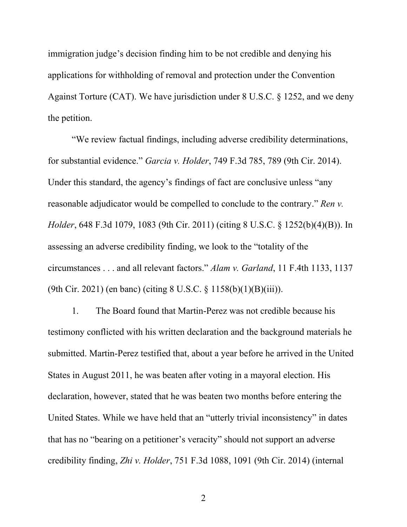immigration judge's decision finding him to be not credible and denying his applications for withholding of removal and protection under the Convention Against Torture (CAT). We have jurisdiction under 8 U.S.C. § 1252, and we deny the petition.

"We review factual findings, including adverse credibility determinations, for substantial evidence." *Garcia v. Holder*, 749 F.3d 785, 789 (9th Cir. 2014). Under this standard, the agency's findings of fact are conclusive unless "any reasonable adjudicator would be compelled to conclude to the contrary." *Ren v. Holder*, 648 F.3d 1079, 1083 (9th Cir. 2011) (citing 8 U.S.C. § 1252(b)(4)(B)). In assessing an adverse credibility finding, we look to the "totality of the circumstances . . . and all relevant factors." *Alam v. Garland*, 11 F.4th 1133, 1137 (9th Cir. 2021) (en banc) (citing 8 U.S.C. § 1158(b)(1)(B)(iii)).

1. The Board found that Martin-Perez was not credible because his testimony conflicted with his written declaration and the background materials he submitted. Martin-Perez testified that, about a year before he arrived in the United States in August 2011, he was beaten after voting in a mayoral election. His declaration, however, stated that he was beaten two months before entering the United States. While we have held that an "utterly trivial inconsistency" in dates that has no "bearing on a petitioner's veracity" should not support an adverse credibility finding, *Zhi v. Holder*, 751 F.3d 1088, 1091 (9th Cir. 2014) (internal

2 a set of  $\sim$  2 a set of  $\sim$  2 a set of  $\sim$  2 a set of  $\sim$  3 a set of  $\sim$  3 a set of  $\sim$  3 a set of  $\sim$  3 a set of  $\sim$  3 a set of  $\sim$  3 a set of  $\sim$  3 a set of  $\sim$  3 a set of  $\sim$  3 a set of  $\sim$  3 a set of  $\sim$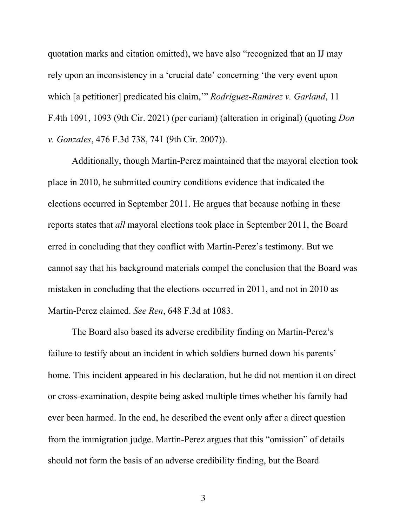quotation marks and citation omitted), we have also "recognized that an IJ may rely upon an inconsistency in a 'crucial date' concerning 'the very event upon which [a petitioner] predicated his claim,'" *Rodriguez-Ramirez v. Garland*, 11 F.4th 1091, 1093 (9th Cir. 2021) (per curiam) (alteration in original) (quoting *Don v. Gonzales*, 476 F.3d 738, 741 (9th Cir. 2007)).

Additionally, though Martin-Perez maintained that the mayoral election took place in 2010, he submitted country conditions evidence that indicated the elections occurred in September 2011. He argues that because nothing in these reports states that *all* mayoral elections took place in September 2011, the Board erred in concluding that they conflict with Martin-Perez's testimony. But we cannot say that his background materials compel the conclusion that the Board was mistaken in concluding that the elections occurred in 2011, and not in 2010 as Martin-Perez claimed. *See Ren*, 648 F.3d at 1083.

The Board also based its adverse credibility finding on Martin-Perez's failure to testify about an incident in which soldiers burned down his parents' home. This incident appeared in his declaration, but he did not mention it on direct or cross-examination, despite being asked multiple times whether his family had ever been harmed. In the end, he described the event only after a direct question from the immigration judge. Martin-Perez argues that this "omission" of details should not form the basis of an adverse credibility finding, but the Board

3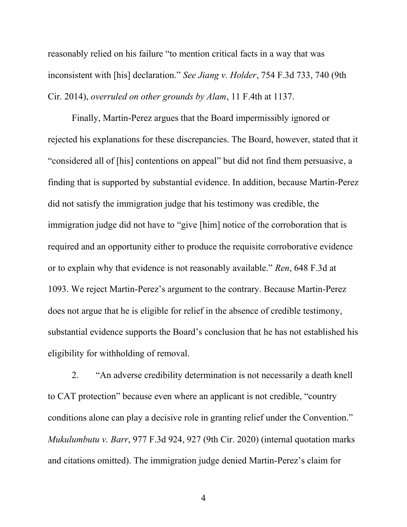reasonably relied on his failure "to mention critical facts in a way that was inconsistent with [his] declaration." *See Jiang v. Holder*, 754 F.3d 733, 740 (9th Cir. 2014), *overruled on other grounds by Alam*, 11 F.4th at 1137.

Finally, Martin-Perez argues that the Board impermissibly ignored or rejected his explanations for these discrepancies. The Board, however, stated that it "considered all of [his] contentions on appeal" but did not find them persuasive, a finding that is supported by substantial evidence. In addition, because Martin-Perez did not satisfy the immigration judge that his testimony was credible, the immigration judge did not have to "give [him] notice of the corroboration that is required and an opportunity either to produce the requisite corroborative evidence or to explain why that evidence is not reasonably available." *Ren*, 648 F.3d at 1093. We reject Martin-Perez's argument to the contrary. Because Martin-Perez does not argue that he is eligible for relief in the absence of credible testimony, substantial evidence supports the Board's conclusion that he has not established his eligibility for withholding of removal.

2. "An adverse credibility determination is not necessarily a death knell to CAT protection" because even where an applicant is not credible, "country conditions alone can play a decisive role in granting relief under the Convention." *Mukulumbutu v. Barr*, 977 F.3d 924, 927 (9th Cir. 2020) (internal quotation marks and citations omitted). The immigration judge denied Martin-Perez's claim for

4